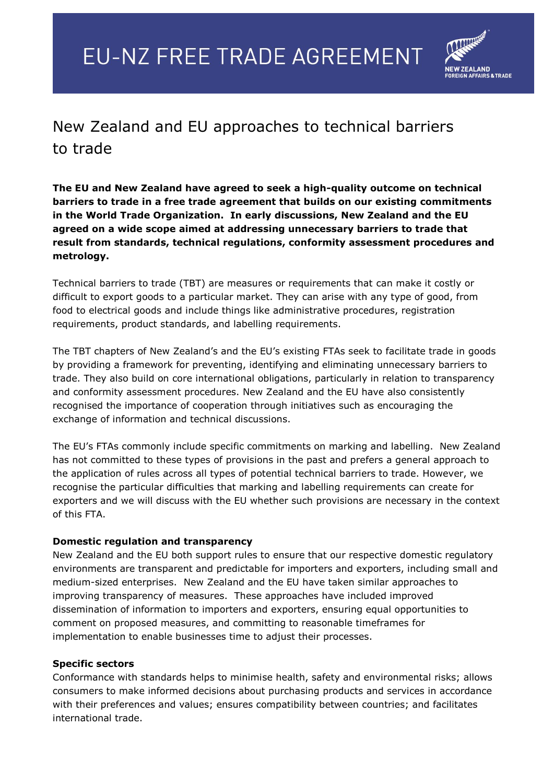

## New Zealand and EU approaches to technical barriers to trade

**The EU and New Zealand have agreed to seek a high-quality outcome on technical barriers to trade in a free trade agreement that builds on our existing commitments in the World Trade Organization. In early discussions, New Zealand and the EU agreed on a wide scope aimed at addressing unnecessary barriers to trade that result from standards, technical regulations, conformity assessment procedures and metrology.**

Technical barriers to trade (TBT) are measures or requirements that can make it costly or difficult to export goods to a particular market. They can arise with any type of good, from food to electrical goods and include things like administrative procedures, registration requirements, product standards, and labelling requirements.

The TBT chapters of New Zealand's and the EU's existing FTAs seek to facilitate trade in goods by providing a framework for preventing, identifying and eliminating unnecessary barriers to trade. They also build on core international obligations, particularly in relation to transparency and conformity assessment procedures. New Zealand and the EU have also consistently recognised the importance of cooperation through initiatives such as encouraging the exchange of information and technical discussions.

The EU's FTAs commonly include specific commitments on marking and labelling. New Zealand has not committed to these types of provisions in the past and prefers a general approach to the application of rules across all types of potential technical barriers to trade. However, we recognise the particular difficulties that marking and labelling requirements can create for exporters and we will discuss with the EU whether such provisions are necessary in the context of this FTA.

## **Domestic regulation and transparency**

New Zealand and the EU both support rules to ensure that our respective domestic regulatory environments are transparent and predictable for importers and exporters, including small and medium-sized enterprises. New Zealand and the EU have taken similar approaches to improving transparency of measures. These approaches have included improved dissemination of information to importers and exporters, ensuring equal opportunities to comment on proposed measures, and committing to reasonable timeframes for implementation to enable businesses time to adjust their processes.

## **Specific sectors**

Conformance with standards helps to minimise health, safety and environmental risks; allows consumers to make informed decisions about purchasing products and services in accordance with their preferences and values; ensures compatibility between countries; and facilitates international trade.